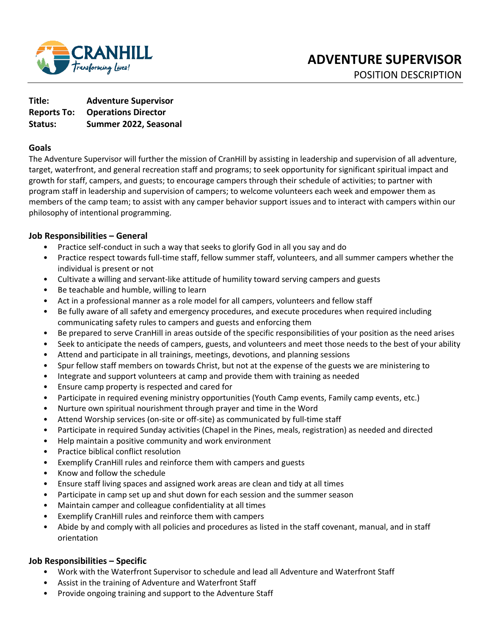

**Title: Adventure Supervisor Reports To: Operations Director Status: Summer 2022, Seasonal** 

### **Goals**

The Adventure Supervisor will further the mission of CranHill by assisting in leadership and supervision of all adventure, target, waterfront, and general recreation staff and programs; to seek opportunity for significant spiritual impact and growth for staff, campers, and guests; to encourage campers through their schedule of activities; to partner with program staff in leadership and supervision of campers; to welcome volunteers each week and empower them as members of the camp team; to assist with any camper behavior support issues and to interact with campers within our philosophy of intentional programming.

### **Job Responsibilities – General**

- Practice self-conduct in such a way that seeks to glorify God in all you say and do
- Practice respect towards full-time staff, fellow summer staff, volunteers, and all summer campers whether the individual is present or not
- Cultivate a willing and servant-like attitude of humility toward serving campers and guests
- Be teachable and humble, willing to learn
- Act in a professional manner as a role model for all campers, volunteers and fellow staff
- Be fully aware of all safety and emergency procedures, and execute procedures when required including communicating safety rules to campers and guests and enforcing them
- Be prepared to serve CranHill in areas outside of the specific responsibilities of your position as the need arises
- Seek to anticipate the needs of campers, guests, and volunteers and meet those needs to the best of your ability
- Attend and participate in all trainings, meetings, devotions, and planning sessions
- Spur fellow staff members on towards Christ, but not at the expense of the guests we are ministering to
- Integrate and support volunteers at camp and provide them with training as needed
- Ensure camp property is respected and cared for
- Participate in required evening ministry opportunities (Youth Camp events, Family camp events, etc.)
- Nurture own spiritual nourishment through prayer and time in the Word
- Attend Worship services (on-site or off-site) as communicated by full-time staff
- Participate in required Sunday activities (Chapel in the Pines, meals, registration) as needed and directed
- Help maintain a positive community and work environment
- Practice biblical conflict resolution
- Exemplify CranHill rules and reinforce them with campers and guests
- Know and follow the schedule
- Ensure staff living spaces and assigned work areas are clean and tidy at all times
- Participate in camp set up and shut down for each session and the summer season
- Maintain camper and colleague confidentiality at all times
- Exemplify CranHill rules and reinforce them with campers
- Abide by and comply with all policies and procedures as listed in the staff covenant, manual, and in staff orientation

# **Job Responsibilities – Specific**

- Work with the Waterfront Supervisor to schedule and lead all Adventure and Waterfront Staff
- Assist in the training of Adventure and Waterfront Staff
- Provide ongoing training and support to the Adventure Staff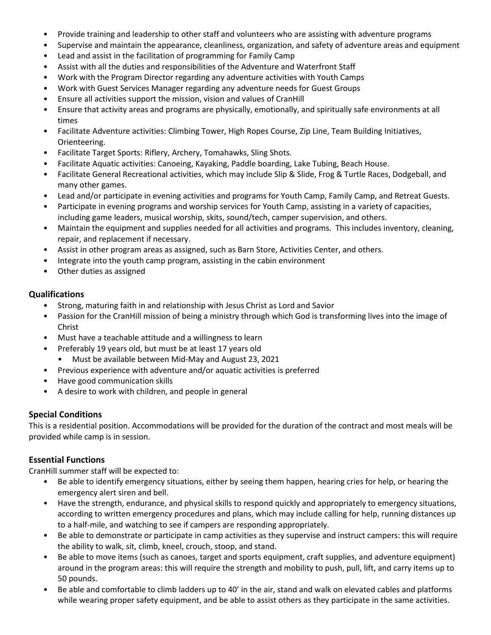- Provide training and leadership to other staff and volunteers who are assisting with adventure programs
- Supervise and maintain the appearance, cleanliness, organization, and safety of adventure areas and equipment
- Lead and assist in the facilitation of programming for Family Camp
- Assist with all the duties and responsibilities of the Adventure and Waterfront Staff
- Work with the Program Director regarding any adventure activities with Youth Camps
- Work with Guest Services Manager regarding any adventure needs for Guest Groups
- Ensure all activities support the mission, vision and values of CranHill
- Ensure that activity areas and programs are physically, emotionally, and spiritually safe environments at all times
- Facilitate Adventure activities: Climbing Tower, High Ropes Course, Zip Line, Team Building Initiatives, Orienteering.
- Facilitate Target Sports: Riflery, Archery, Tomahawks, Sling Shots.
- Facilitate Aquatic activities: Canoeing, Kayaking, Paddle boarding, Lake Tubing, Beach House.
- Facilitate General Recreational activities, which may include Slip & Slide, Frog & Turtle Races, Dodgeball, and many other games.
- Lead and/or participate in evening activities and programs for Youth Camp, Family Camp, and Retreat Guests.
- Participate in evening programs and worship services for Youth Camp, assisting in a variety of capacities, including game leaders, musical worship, skits, sound/tech, camper supervision, and others.
- Maintain the equipment and supplies needed for all activities and programs. This includes inventory, cleaning, repair, and replacement if necessary.
- Assist in other program areas as assigned, such as Barn Store, Activities Center, and others.
- Integrate into the youth camp program, assisting in the cabin environment
- Other duties as assigned

### **Qualifications**

- Strong, maturing faith in and relationship with Jesus Christ as Lord and Savior
- Passion for the CranHill mission of being a ministry through which God is transforming lives into the image of Christ
- Must have a teachable attitude and a willingness to learn
- Preferably 19 years old, but must be at least 17 years old
	- Must be available between Mid-May and August 23, 2021
- Previous experience with adventure and/or aquatic activities is preferred
- Have good communication skills
- A desire to work with children, and people in general

# **Special Conditions**

This is a residential position. Accommodations will be provided for the duration of the contract and most meals will be provided while camp is in session.

# **Essential Functions**

CranHill summer staff will be expected to:

- Be able to identify emergency situations, either by seeing them happen, hearing cries for help, or hearing the emergency alert siren and bell.
- Have the strength, endurance, and physical skills to respond quickly and appropriately to emergency situations, according to written emergency procedures and plans, which may include calling for help, running distances up to a half-mile, and watching to see if campers are responding appropriately.
- Be able to demonstrate or participate in camp activities as they supervise and instruct campers: this will require the ability to walk, sit, climb, kneel, crouch, stoop, and stand.
- Be able to move items (such as canoes, target and sports equipment, craft supplies, and adventure equipment) around in the program areas: this will require the strength and mobility to push, pull, lift, and carry items up to 50 pounds.
- Be able and comfortable to climb ladders up to 40' in the air, stand and walk on elevated cables and platforms while wearing proper safety equipment, and be able to assist others as they participate in the same activities.